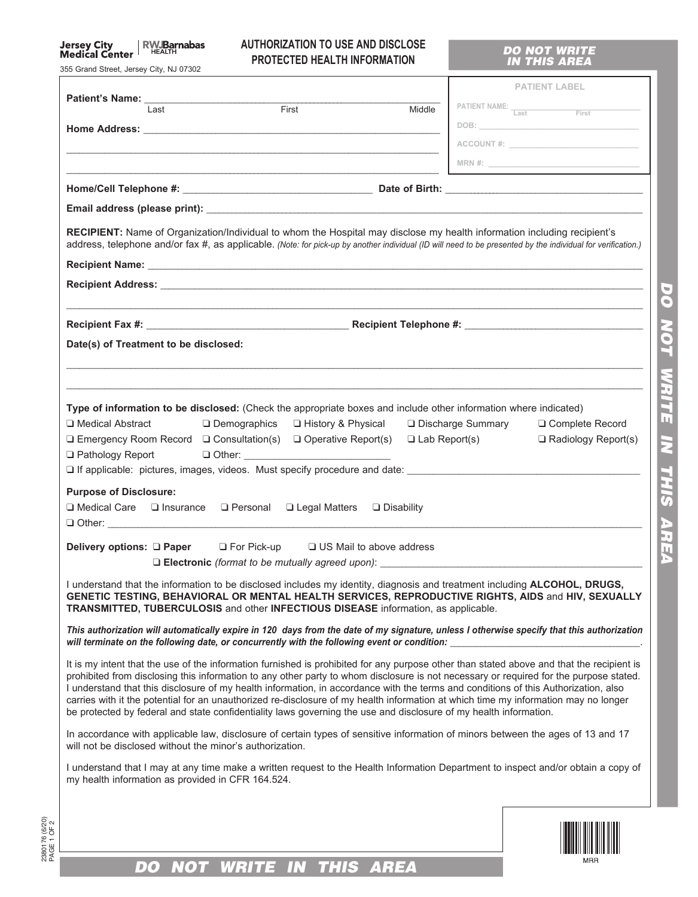# Jersey City | RWJBarnabas<br>Medical Center

2380176 (6/20) PAGE 1 OF 2

2380176 (6/20)<br>PAGE 1 OF 2

## **AUTHORIZATION TO USE AND DISCLOSE PROTECTED HEALTH INFORMATION**

### *DO NOT WRITE IN THIS AREA*

*DO NOT WRITE IN THIS AREA*

AREA

DO NOT WRITE IN THIS

| 355 Grand Street, Jersey City, NJ 07302                                                                                                                                                                                                                                                                                                                                                                                                                                                                                                                                                                                                                                                |                          |  |  |  |
|----------------------------------------------------------------------------------------------------------------------------------------------------------------------------------------------------------------------------------------------------------------------------------------------------------------------------------------------------------------------------------------------------------------------------------------------------------------------------------------------------------------------------------------------------------------------------------------------------------------------------------------------------------------------------------------|--------------------------|--|--|--|
|                                                                                                                                                                                                                                                                                                                                                                                                                                                                                                                                                                                                                                                                                        | <b>PATIENT LABEL</b>     |  |  |  |
| First<br>Middle<br>Last                                                                                                                                                                                                                                                                                                                                                                                                                                                                                                                                                                                                                                                                | PATIENT NAME: Last First |  |  |  |
|                                                                                                                                                                                                                                                                                                                                                                                                                                                                                                                                                                                                                                                                                        |                          |  |  |  |
|                                                                                                                                                                                                                                                                                                                                                                                                                                                                                                                                                                                                                                                                                        |                          |  |  |  |
|                                                                                                                                                                                                                                                                                                                                                                                                                                                                                                                                                                                                                                                                                        | MRN #: $\qquad \qquad$   |  |  |  |
|                                                                                                                                                                                                                                                                                                                                                                                                                                                                                                                                                                                                                                                                                        |                          |  |  |  |
|                                                                                                                                                                                                                                                                                                                                                                                                                                                                                                                                                                                                                                                                                        |                          |  |  |  |
| <b>RECIPIENT:</b> Name of Organization/Individual to whom the Hospital may disclose my health information including recipient's<br>address, telephone and/or fax #, as applicable. (Note: for pick-up by another individual (ID will need to be presented by the individual for verification.)                                                                                                                                                                                                                                                                                                                                                                                         |                          |  |  |  |
|                                                                                                                                                                                                                                                                                                                                                                                                                                                                                                                                                                                                                                                                                        |                          |  |  |  |
|                                                                                                                                                                                                                                                                                                                                                                                                                                                                                                                                                                                                                                                                                        |                          |  |  |  |
|                                                                                                                                                                                                                                                                                                                                                                                                                                                                                                                                                                                                                                                                                        |                          |  |  |  |
|                                                                                                                                                                                                                                                                                                                                                                                                                                                                                                                                                                                                                                                                                        |                          |  |  |  |
| Date(s) of Treatment to be disclosed:                                                                                                                                                                                                                                                                                                                                                                                                                                                                                                                                                                                                                                                  |                          |  |  |  |
|                                                                                                                                                                                                                                                                                                                                                                                                                                                                                                                                                                                                                                                                                        |                          |  |  |  |
|                                                                                                                                                                                                                                                                                                                                                                                                                                                                                                                                                                                                                                                                                        |                          |  |  |  |
| Type of information to be disclosed: (Check the appropriate boxes and include other information where indicated)<br>□ Medical Abstract<br>□ Demographics<br>□ History & Physical<br>□ Discharge Summary<br>□ Complete Record<br>$\Box$ Emergency Room Record $\Box$ Consultation(s) $\Box$ Operative Report(s)<br>$\Box$ Lab Report(s)<br>$\Box$ Radiology Report(s)<br>$\Box$ Pathology Report<br>□ If applicable: pictures, images, videos. Must specify procedure and date: _______________________                                                                                                                                                                                 |                          |  |  |  |
| <b>Purpose of Disclosure:</b><br>$\Box$ Medical Care $\Box$ Insurance $\Box$ Personal $\Box$ Legal Matters<br>$\Box$ Disability                                                                                                                                                                                                                                                                                                                                                                                                                                                                                                                                                        |                          |  |  |  |
|                                                                                                                                                                                                                                                                                                                                                                                                                                                                                                                                                                                                                                                                                        |                          |  |  |  |
| Delivery options: Q Paper Q For Pick-up<br>$\Box$ US Mail to above address                                                                                                                                                                                                                                                                                                                                                                                                                                                                                                                                                                                                             |                          |  |  |  |
| □ Electronic (format to be mutually agreed upon):                                                                                                                                                                                                                                                                                                                                                                                                                                                                                                                                                                                                                                      |                          |  |  |  |
| I understand that the information to be disclosed includes my identity, diagnosis and treatment including ALCOHOL, DRUGS,<br>GENETIC TESTING, BEHAVIORAL OR MENTAL HEALTH SERVICES, REPRODUCTIVE RIGHTS, AIDS and HIV, SEXUALLY<br>TRANSMITTED, TUBERCULOSIS and other INFECTIOUS DISEASE information, as applicable.                                                                                                                                                                                                                                                                                                                                                                  |                          |  |  |  |
| This authorization will automatically expire in 120 days from the date of my signature, unless I otherwise specify that this authorization<br>will terminate on the following date, or concurrently with the following event or condition:                                                                                                                                                                                                                                                                                                                                                                                                                                             |                          |  |  |  |
| It is my intent that the use of the information furnished is prohibited for any purpose other than stated above and that the recipient is<br>prohibited from disclosing this information to any other party to whom disclosure is not necessary or required for the purpose stated.<br>I understand that this disclosure of my health information, in accordance with the terms and conditions of this Authorization, also<br>carries with it the potential for an unauthorized re-disclosure of my health information at which time my information may no longer<br>be protected by federal and state confidentiality laws governing the use and disclosure of my health information. |                          |  |  |  |
| In accordance with applicable law, disclosure of certain types of sensitive information of minors between the ages of 13 and 17<br>will not be disclosed without the minor's authorization.                                                                                                                                                                                                                                                                                                                                                                                                                                                                                            |                          |  |  |  |
| I understand that I may at any time make a written request to the Health Information Department to inspect and/or obtain a copy of<br>my health information as provided in CFR 164.524.                                                                                                                                                                                                                                                                                                                                                                                                                                                                                                |                          |  |  |  |
|                                                                                                                                                                                                                                                                                                                                                                                                                                                                                                                                                                                                                                                                                        |                          |  |  |  |
| <b>WRITE IN</b><br><b>THIS</b><br><b>AREA</b><br>DO<br>NOT                                                                                                                                                                                                                                                                                                                                                                                                                                                                                                                                                                                                                             |                          |  |  |  |